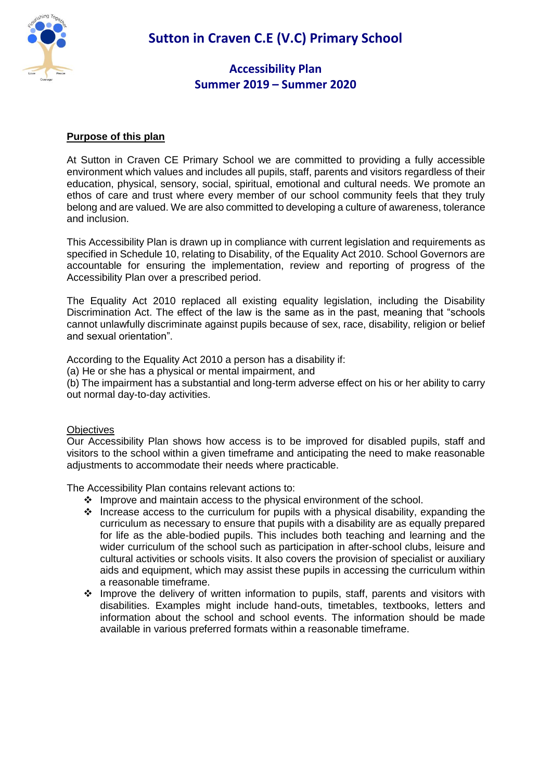

**Sutton in Craven C.E (V.C) Primary School**

### **Accessibility Plan Summer 2019 – Summer 2020**

#### **Purpose of this plan**

At Sutton in Craven CE Primary School we are committed to providing a fully accessible environment which values and includes all pupils, staff, parents and visitors regardless of their education, physical, sensory, social, spiritual, emotional and cultural needs. We promote an ethos of care and trust where every member of our school community feels that they truly belong and are valued. We are also committed to developing a culture of awareness, tolerance and inclusion.

This Accessibility Plan is drawn up in compliance with current legislation and requirements as specified in Schedule 10, relating to Disability, of the Equality Act 2010. School Governors are accountable for ensuring the implementation, review and reporting of progress of the Accessibility Plan over a prescribed period.

The Equality Act 2010 replaced all existing equality legislation, including the Disability Discrimination Act. The effect of the law is the same as in the past, meaning that "schools cannot unlawfully discriminate against pupils because of sex, race, disability, religion or belief and sexual orientation".

According to the Equality Act 2010 a person has a disability if:

(a) He or she has a physical or mental impairment, and

(b) The impairment has a substantial and long-term adverse effect on his or her ability to carry out normal day-to-day activities.

#### **Objectives**

Our Accessibility Plan shows how access is to be improved for disabled pupils, staff and visitors to the school within a given timeframe and anticipating the need to make reasonable adjustments to accommodate their needs where practicable.

The Accessibility Plan contains relevant actions to:

- Improve and maintain access to the physical environment of the school.
- $\cdot$  Increase access to the curriculum for pupils with a physical disability, expanding the curriculum as necessary to ensure that pupils with a disability are as equally prepared for life as the able-bodied pupils. This includes both teaching and learning and the wider curriculum of the school such as participation in after-school clubs, leisure and cultural activities or schools visits. It also covers the provision of specialist or auxiliary aids and equipment, which may assist these pupils in accessing the curriculum within a reasonable timeframe.
- \* Improve the delivery of written information to pupils, staff, parents and visitors with disabilities. Examples might include hand-outs, timetables, textbooks, letters and information about the school and school events. The information should be made available in various preferred formats within a reasonable timeframe.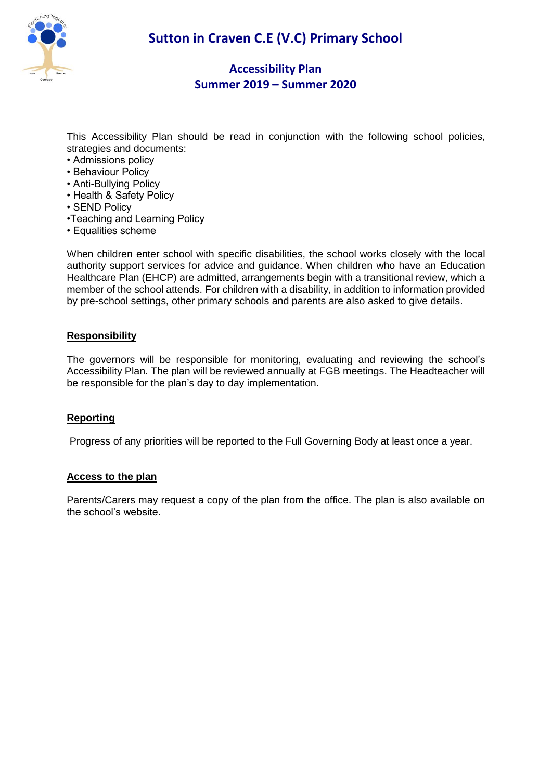

This Accessibility Plan should be read in conjunction with the following school policies, strategies and documents:

- Admissions policy
- Behaviour Policy
- Anti-Bullying Policy
- Health & Safety Policy
- SEND Policy
- •Teaching and Learning Policy
- Equalities scheme

When children enter school with specific disabilities, the school works closely with the local authority support services for advice and guidance. When children who have an Education Healthcare Plan (EHCP) are admitted, arrangements begin with a transitional review, which a member of the school attends. For children with a disability, in addition to information provided by pre-school settings, other primary schools and parents are also asked to give details.

### **Responsibility**

The governors will be responsible for monitoring, evaluating and reviewing the school's Accessibility Plan. The plan will be reviewed annually at FGB meetings. The Headteacher will be responsible for the plan's day to day implementation.

#### **Reporting**

Progress of any priorities will be reported to the Full Governing Body at least once a year.

#### **Access to the plan**

Parents/Carers may request a copy of the plan from the office. The plan is also available on the school's website.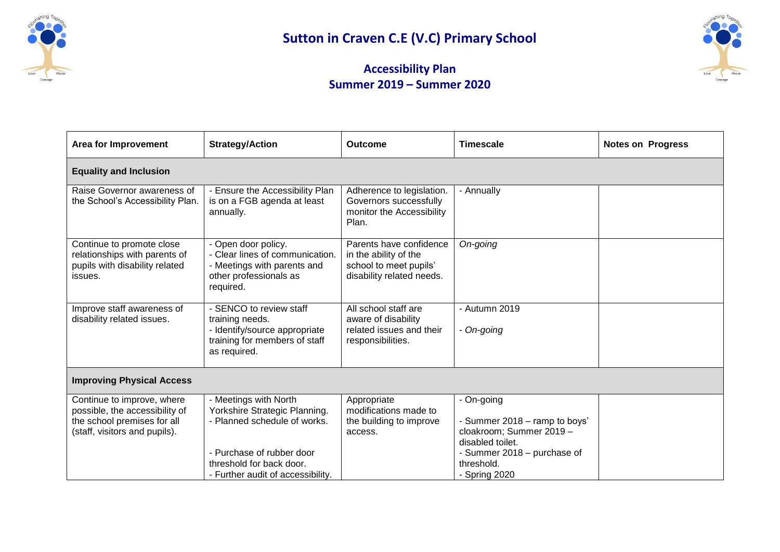



| <b>Area for Improvement</b>                                                                                                  | <b>Strategy/Action</b>                                                                                                                                                               | <b>Outcome</b>                                                                                          | <b>Timescale</b>                                                                                                                                          | <b>Notes on Progress</b> |  |
|------------------------------------------------------------------------------------------------------------------------------|--------------------------------------------------------------------------------------------------------------------------------------------------------------------------------------|---------------------------------------------------------------------------------------------------------|-----------------------------------------------------------------------------------------------------------------------------------------------------------|--------------------------|--|
| <b>Equality and Inclusion</b>                                                                                                |                                                                                                                                                                                      |                                                                                                         |                                                                                                                                                           |                          |  |
| Raise Governor awareness of<br>the School's Accessibility Plan.                                                              | - Ensure the Accessibility Plan<br>is on a FGB agenda at least<br>annually.                                                                                                          | Adherence to legislation.<br>Governors successfully<br>monitor the Accessibility<br>Plan.               | - Annually                                                                                                                                                |                          |  |
| Continue to promote close<br>relationships with parents of<br>pupils with disability related<br>issues.                      | Open door policy.<br>- Clear lines of communication.<br>- Meetings with parents and<br>other professionals as<br>required.                                                           | Parents have confidence<br>in the ability of the<br>school to meet pupils'<br>disability related needs. | On-going                                                                                                                                                  |                          |  |
| Improve staff awareness of<br>disability related issues.                                                                     | SENCO to review staff<br>training needs.<br>- Identify/source appropriate<br>training for members of staff<br>as required.                                                           | All school staff are<br>aware of disability<br>related issues and their<br>responsibilities.            | - Autumn 2019<br>- On-going                                                                                                                               |                          |  |
| <b>Improving Physical Access</b>                                                                                             |                                                                                                                                                                                      |                                                                                                         |                                                                                                                                                           |                          |  |
| Continue to improve, where<br>possible, the accessibility of<br>the school premises for all<br>(staff, visitors and pupils). | - Meetings with North<br>Yorkshire Strategic Planning.<br>- Planned schedule of works.<br>- Purchase of rubber door<br>threshold for back door.<br>- Further audit of accessibility. | Appropriate<br>modifications made to<br>the building to improve<br>access.                              | - On-going<br>- Summer 2018 - ramp to boys'<br>cloakroom; Summer 2019 -<br>disabled toilet.<br>- Summer 2018 - purchase of<br>threshold.<br>- Spring 2020 |                          |  |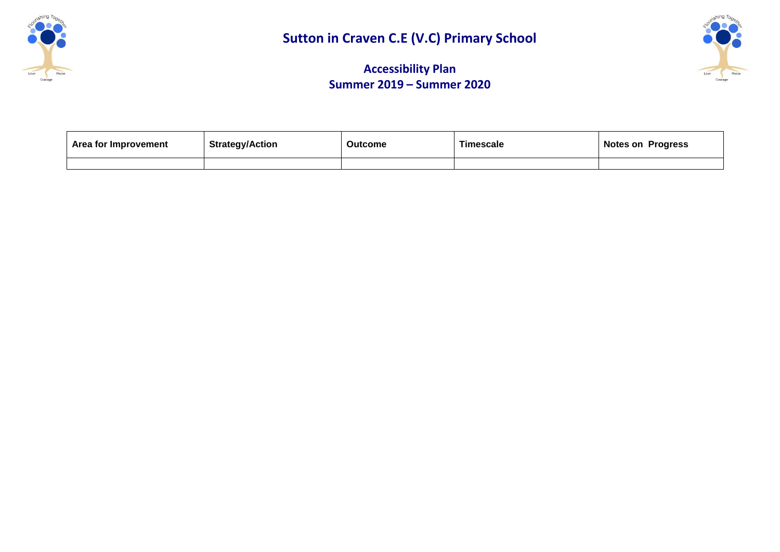



| Area for Improvement | <b>Strategy/Action</b> | <b>Outcome</b> | <b>Timescale</b> | <b>Notes on Progress</b> |
|----------------------|------------------------|----------------|------------------|--------------------------|
|                      |                        |                |                  |                          |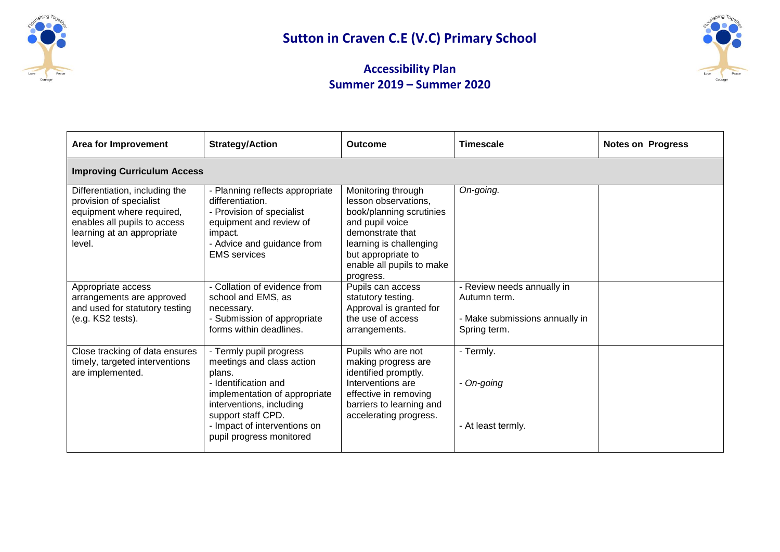



| <b>Area for Improvement</b>                                                                                                                                    | <b>Strategy/Action</b>                                                                                                                                                                                                                | Outcome                                                                                                                                                                                                  | <b>Timescale</b>                                                                             | <b>Notes on Progress</b> |  |
|----------------------------------------------------------------------------------------------------------------------------------------------------------------|---------------------------------------------------------------------------------------------------------------------------------------------------------------------------------------------------------------------------------------|----------------------------------------------------------------------------------------------------------------------------------------------------------------------------------------------------------|----------------------------------------------------------------------------------------------|--------------------------|--|
| <b>Improving Curriculum Access</b>                                                                                                                             |                                                                                                                                                                                                                                       |                                                                                                                                                                                                          |                                                                                              |                          |  |
| Differentiation, including the<br>provision of specialist<br>equipment where required,<br>enables all pupils to access<br>learning at an appropriate<br>level. | - Planning reflects appropriate<br>differentiation.<br>- Provision of specialist<br>equipment and review of<br>impact.<br>- Advice and guidance from<br><b>EMS</b> services                                                           | Monitoring through<br>lesson observations,<br>book/planning scrutinies<br>and pupil voice<br>demonstrate that<br>learning is challenging<br>but appropriate to<br>enable all pupils to make<br>progress. | On-going.                                                                                    |                          |  |
| Appropriate access<br>arrangements are approved<br>and used for statutory testing<br>(e.g. KS2 tests).                                                         | - Collation of evidence from<br>school and EMS, as<br>necessary.<br>- Submission of appropriate<br>forms within deadlines.                                                                                                            | Pupils can access<br>statutory testing.<br>Approval is granted for<br>the use of access<br>arrangements.                                                                                                 | - Review needs annually in<br>Autumn term.<br>- Make submissions annually in<br>Spring term. |                          |  |
| Close tracking of data ensures<br>timely, targeted interventions<br>are implemented.                                                                           | - Termly pupil progress<br>meetings and class action<br>plans.<br>- Identification and<br>implementation of appropriate<br>interventions, including<br>support staff CPD.<br>- Impact of interventions on<br>pupil progress monitored | Pupils who are not<br>making progress are<br>identified promptly.<br>Interventions are<br>effective in removing<br>barriers to learning and<br>accelerating progress.                                    | - Termly.<br>- On-going<br>- At least termly.                                                |                          |  |